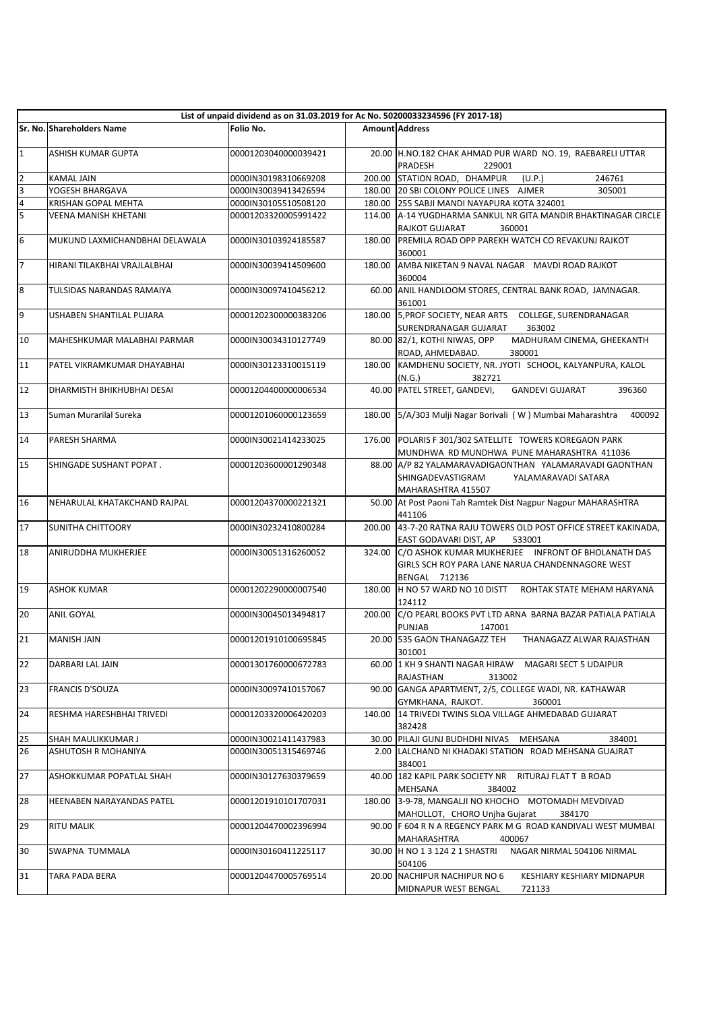|                | List of unpaid dividend as on 31.03.2019 for Ac No. 50200033234596 (FY 2017-18) |                      |        |                                                                                                                           |  |
|----------------|---------------------------------------------------------------------------------|----------------------|--------|---------------------------------------------------------------------------------------------------------------------------|--|
|                | Sr. No. Shareholders Name                                                       | Folio No.            |        | <b>Amount Address</b>                                                                                                     |  |
| $\mathbf 1$    | ASHISH KUMAR GUPTA                                                              | 00001203040000039421 |        | 20.00 H.NO.182 CHAK AHMAD PUR WARD NO. 19, RAEBARELI UTTAR<br>PRADESH<br>229001                                           |  |
| $\overline{2}$ | <b>KAMAL JAIN</b>                                                               | 0000IN30198310669208 |        | 200.00 STATION ROAD, DHAMPUR<br>(U.P.)<br>246761                                                                          |  |
| 3              | YOGESH BHARGAVA                                                                 | 0000IN30039413426594 |        | 180.00 20 SBI COLONY POLICE LINES AJMER<br>305001                                                                         |  |
| 4              | KRISHAN GOPAL MEHTA                                                             | 0000IN30105510508120 |        | 180.00 255 SABJI MANDI NAYAPURA KOTA 324001                                                                               |  |
| 5              | <b>VEENA MANISH KHETANI</b>                                                     | 00001203320005991422 |        | 114.00 A-14 YUGDHARMA SANKUL NR GITA MANDIR BHAKTINAGAR CIRCLE<br>RAJKOT GUJARAT<br>360001                                |  |
| 6              | MUKUND LAXMICHANDBHAI DELAWALA                                                  | 0000IN30103924185587 | 180.00 | PREMILA ROAD OPP PAREKH WATCH CO REVAKUNJ RAJKOT<br>360001                                                                |  |
| $\overline{7}$ | HIRANI TILAKBHAI VRAJLALBHAI                                                    | 0000IN30039414509600 |        | 180.00 AMBA NIKETAN 9 NAVAL NAGAR MAVDI ROAD RAJKOT<br>360004                                                             |  |
| 8              | TULSIDAS NARANDAS RAMAIYA                                                       | 0000IN30097410456212 |        | 60.00 ANIL HANDLOOM STORES, CENTRAL BANK ROAD, JAMNAGAR.<br>361001                                                        |  |
| 9              | USHABEN SHANTILAL PUJARA                                                        | 00001202300000383206 |        | 180.00 5, PROF SOCIETY, NEAR ARTS COLLEGE, SURENDRANAGAR<br>SURENDRANAGAR GUJARAT<br>363002                               |  |
| 10             | MAHESHKUMAR MALABHAI PARMAR                                                     | 0000IN30034310127749 |        | 80.00 82/1, KOTHI NIWAS, OPP<br>MADHURAM CINEMA, GHEEKANTH<br>ROAD, AHMEDABAD.<br>380001                                  |  |
| 11             | PATEL VIKRAMKUMAR DHAYABHAI                                                     | 0000IN30123310015119 | 180.00 | KAMDHENU SOCIETY, NR. JYOTI SCHOOL, KALYANPURA, KALOL<br>382721<br>(N.G.)                                                 |  |
| 12             | DHARMISTH BHIKHUBHAI DESAI                                                      | 00001204400000006534 |        | 40.00 PATEL STREET, GANDEVI,<br><b>GANDEVI GUJARAT</b><br>396360                                                          |  |
| 13             | Suman Murarilal Sureka                                                          | 00001201060000123659 | 180.00 | 5/A/303 Mulji Nagar Borivali (W) Mumbai Maharashtra<br>400092                                                             |  |
| 14             | PARESH SHARMA                                                                   | 0000IN30021414233025 |        | 176.00 POLARIS F 301/302 SATELLITE TOWERS KOREGAON PARK<br>MUNDHWA RD MUNDHWA PUNE MAHARASHTRA 411036                     |  |
| 15             | SHINGADE SUSHANT POPAT.                                                         | 00001203600001290348 |        | 88.00 A/P 82 YALAMARAVADIGAONTHAN YALAMARAVADI GAONTHAN<br>SHINGADEVASTIGRAM<br>YALAMARAVADI SATARA<br>MAHARASHTRA 415507 |  |
| 16             | NEHARULAL KHATAKCHAND RAJPAL                                                    | 00001204370000221321 |        | 50.00 At Post Paoni Tah Ramtek Dist Nagpur Nagpur MAHARASHTRA<br>441106                                                   |  |
| 17             | SUNITHA CHITTOORY                                                               | 0000IN30232410800284 |        | 200.00 43-7-20 RATNA RAJU TOWERS OLD POST OFFICE STREET KAKINADA,<br>EAST GODAVARI DIST, AP<br>533001                     |  |
| 18             | ANIRUDDHA MUKHERJEE                                                             | 0000IN30051316260052 | 324.00 | C/O ASHOK KUMAR MUKHERJEE INFRONT OF BHOLANATH DAS<br>GIRLS SCH ROY PARA LANE NARUA CHANDENNAGORE WEST<br>BENGAL 712136   |  |
| 19             | <b>ASHOK KUMAR</b>                                                              | 00001202290000007540 |        | 180.00 H NO 57 WARD NO 10 DISTT ROHTAK STATE MEHAM HARYANA<br>124112                                                      |  |
| 20             | ANIL GOYAL                                                                      | 0000IN30045013494817 |        | 200.00 C/O PEARL BOOKS PVT LTD ARNA BARNA BAZAR PATIALA PATIALA<br><b>PUNJAB</b><br>147001                                |  |
| 21             | <b>MANISH JAIN</b>                                                              | 00001201910100695845 |        | 20.00 535 GAON THANAGAZZ TEH THANAGAZZ ALWAR RAJASTHAN<br>301001                                                          |  |
| 22             | DARBARI LAL JAIN                                                                | 00001301760000672783 |        | 60.00 1 KH 9 SHANTI NAGAR HIRAW MAGARI SECT 5 UDAIPUR<br>RAJASTHAN<br>313002                                              |  |
| 23             | <b>FRANCIS D'SOUZA</b>                                                          | 0000IN30097410157067 |        | 90.00 GANGA APARTMENT, 2/5, COLLEGE WADI, NR. KATHAWAR<br>GYMKHANA, RAJKOT.<br>360001                                     |  |
| 24             | RESHMA HARESHBHAI TRIVEDI                                                       | 00001203320006420203 | 140.00 | 14 TRIVEDI TWINS SLOA VILLAGE AHMEDABAD GUJARAT<br>382428                                                                 |  |
| 25             | SHAH MAULIKKUMAR J                                                              | 0000IN30021411437983 |        | 30.00 PILAJI GUNJ BUDHDHI NIVAS MEHSANA<br>384001                                                                         |  |
| 26             | ASHUTOSH R MOHANIYA                                                             | 0000IN30051315469746 |        | 2.00 LALCHAND NI KHADAKI STATION ROAD MEHSANA GUAJRAT<br>384001                                                           |  |
| 27             | ASHOKKUMAR POPATLAL SHAH                                                        | 0000IN30127630379659 |        | 40.00 182 KAPIL PARK SOCIETY NR RITURAJ FLATT B ROAD<br>MEHSANA<br>384002                                                 |  |
| 28             | HEENABEN NARAYANDAS PATEL                                                       | 00001201910101707031 | 180.00 | 3-9-78, MANGALJI NO KHOCHO MOTOMADH MEVDIVAD<br>MAHOLLOT, CHORO Unjha Gujarat<br>384170                                   |  |
| 29             | RITU MALIK                                                                      | 00001204470002396994 |        | 90.00 F 604 R N A REGENCY PARK M G ROAD KANDIVALI WEST MUMBAI<br>MAHARASHTRA<br>400067                                    |  |
| 30             | SWAPNA TUMMALA                                                                  | 0000IN30160411225117 |        | NAGAR NIRMAL 504106 NIRMAL<br>30.00 H NO 1 3 124 2 1 SHASTRI<br>504106                                                    |  |
| 31             | TARA PADA BERA                                                                  | 00001204470005769514 |        | 20.00 NACHIPUR NACHIPUR NO 6<br>KESHIARY KESHIARY MIDNAPUR<br>MIDNAPUR WEST BENGAL<br>721133                              |  |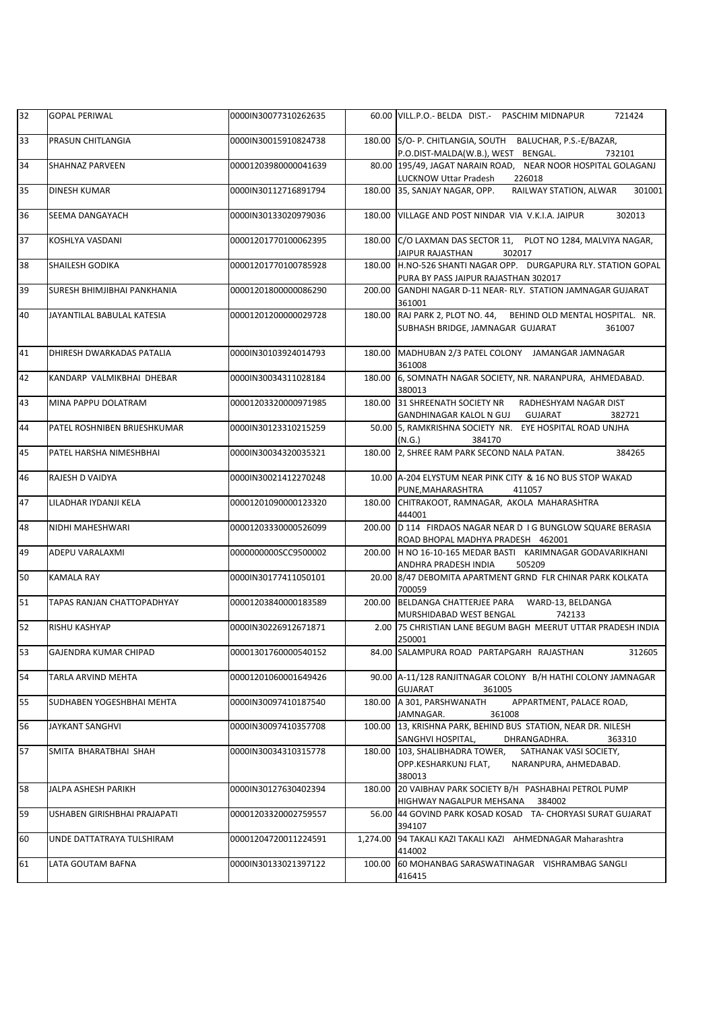| 32 | <b>GOPAL PERIWAL</b>              | 0000IN30077310262635 |          | 60.00 VILL.P.O.- BELDA DIST.- PASCHIM MIDNAPUR<br>721424                                                      |
|----|-----------------------------------|----------------------|----------|---------------------------------------------------------------------------------------------------------------|
| 33 | PRASUN CHITLANGIA                 | 0000IN30015910824738 | 180.00   | S/O- P. CHITLANGIA, SOUTH BALUCHAR, P.S.-E/BAZAR,<br>P.O.DIST-MALDA(W.B.), WEST BENGAL.<br>732101             |
| 34 | SHAHNAZ PARVEEN                   | 00001203980000041639 |          | 80.00 195/49, JAGAT NARAIN ROAD, NEAR NOOR HOSPITAL GOLAGANJ<br>LUCKNOW Uttar Pradesh<br>226018               |
| 35 | DINESH KUMAR                      | 0000IN30112716891794 | 180.00   | 35, SANJAY NAGAR, OPP.<br>RAILWAY STATION, ALWAR<br>301001                                                    |
| 36 | SEEMA DANGAYACH                   | 0000IN30133020979036 |          | 180.00 VILLAGE AND POST NINDAR VIA V.K.I.A. JAIPUR<br>302013                                                  |
| 37 | KOSHLYA VASDANI                   | 00001201770100062395 | 180.00   | C/O LAXMAN DAS SECTOR 11, PLOT NO 1284, MALVIYA NAGAR,<br><b>JAIPUR RAJASTHAN</b><br>302017                   |
| 38 | SHAILESH GODIKA                   | 00001201770100785928 |          | 180.00 H.NO-526 SHANTI NAGAR OPP. DURGAPURA RLY. STATION GOPAL<br>PURA BY PASS JAIPUR RAJASTHAN 302017        |
| 39 | SURESH BHIMJIBHAI PANKHANIA       | 00001201800000086290 | 200.00   | GANDHI NAGAR D-11 NEAR- RLY. STATION JAMNAGAR GUJARAT<br>361001                                               |
| 40 | JAYANTILAL BABULAL KATESIA        | 00001201200000029728 |          | 180.00 RAJ PARK 2, PLOT NO. 44, BEHIND OLD MENTAL HOSPITAL. NR.<br>SUBHASH BRIDGE, JAMNAGAR GUJARAT<br>361007 |
| 41 | DHIRESH DWARKADAS PATALIA         | 0000IN30103924014793 |          | 180.00 MADHUBAN 2/3 PATEL COLONY JAMANGAR JAMNAGAR<br>361008                                                  |
| 42 | KANDARP VALMIKBHAI DHEBAR         | 0000IN30034311028184 | 180.00   | 6, SOMNATH NAGAR SOCIETY, NR. NARANPURA, AHMEDABAD.<br>380013                                                 |
| 43 | MINA PAPPU DOLATRAM               | 00001203320000971985 |          | 180.00 31 SHREENATH SOCIETY NR<br>RADHESHYAM NAGAR DIST<br>GANDHINAGAR KALOL N GUJ<br>GUJARAT<br>382721       |
| 44 | PATEL ROSHNIBEN BRIJESHKUMAR      | 0000IN30123310215259 |          | 50.00 5, RAMKRISHNA SOCIETY NR. EYE HOSPITAL ROAD UNJHA<br>(N.G.)<br>384170                                   |
| 45 | PATEL HARSHA NIMESHBHAI           | 0000IN30034320035321 |          | 180.00 2, SHREE RAM PARK SECOND NALA PATAN.<br>384265                                                         |
| 46 | RAJESH D VAIDYA                   | 0000IN30021412270248 |          | 10.00 A-204 ELYSTUM NEAR PINK CITY & 16 NO BUS STOP WAKAD<br>PUNE, MAHARASHTRA<br>411057                      |
| 47 | LILADHAR IYDANJI KELA             | 00001201090000123320 | 180.00   | CHITRAKOOT, RAMNAGAR, AKOLA MAHARASHTRA<br>444001                                                             |
| 48 | NIDHI MAHESHWARI                  | 00001203330000526099 |          | 200.00 D 114 FIRDAOS NAGAR NEAR D I G BUNGLOW SQUARE BERASIA<br>ROAD BHOPAL MADHYA PRADESH 462001             |
| 49 | ADEPU VARALAXMI                   | 0000000000SCC9500002 |          | 200.00  H NO 16-10-165 MEDAR BASTI KARIMNAGAR GODAVARIKHANI<br>ANDHRA PRADESH INDIA<br>505209                 |
| 50 | <b>KAMALA RAY</b>                 | 0000IN30177411050101 |          | 20.00 8/47 DEBOMITA APARTMENT GRND FLR CHINAR PARK KOLKATA<br>700059                                          |
| 51 | <b>TAPAS RANJAN CHATTOPADHYAY</b> | 00001203840000183589 | 200.00   | MURSHIDABAD WEST BENGAL<br>742133                                                                             |
| 52 | RISHU KASHYAP                     | 0000IN30226912671871 |          | 2.00 75 CHRISTIAN LANE BEGUM BAGH MEERUT UTTAR PRADESH INDIA<br>250001                                        |
| 53 | GAJENDRA KUMAR CHIPAD             | 00001301760000540152 |          | 84.00 SALAMPURA ROAD PARTAPGARH RAJASTHAN<br>312605                                                           |
| 54 | TARLA ARVIND MEHTA                | 00001201060001649426 |          | 90.00 A-11/128 RANJITNAGAR COLONY B/H HATHI COLONY JAMNAGAR<br><b>GUJARAT</b><br>361005                       |
| 55 | SUDHABEN YOGESHBHAI MEHTA         | 0000IN30097410187540 | 180.00   | A 301, PARSHWANATH<br>APPARTMENT, PALACE ROAD,<br>JAMNAGAR.<br>361008                                         |
| 56 | JAYKANT SANGHVI                   | 0000IN30097410357708 |          | 100.00 13, KRISHNA PARK, BEHIND BUS STATION, NEAR DR. NILESH<br>SANGHVI HOSPITAL,<br>DHRANGADHRA.<br>363310   |
| 57 | SMITA BHARATBHAI SHAH             | 0000IN30034310315778 | 180.00   | 103, SHALIBHADRA TOWER,<br>SATHANAK VASI SOCIETY,<br>OPP.KESHARKUNJ FLAT,<br>NARANPURA, AHMEDABAD.<br>380013  |
| 58 | JALPA ASHESH PARIKH               | 0000IN30127630402394 | 180.00   | 20 VAIBHAV PARK SOCIETY B/H PASHABHAI PETROL PUMP<br>HIGHWAY NAGALPUR MEHSANA 384002                          |
| 59 | USHABEN GIRISHBHAI PRAJAPATI      | 00001203320002759557 |          | 56.00 44 GOVIND PARK KOSAD KOSAD TA- CHORYASI SURAT GUJARAT<br>394107                                         |
| 60 | UNDE DATTATRAYA TULSHIRAM         | 00001204720011224591 | 1,274.00 | 94 TAKALI KAZI TAKALI KAZI AHMEDNAGAR Maharashtra<br>414002                                                   |
| 61 | LATA GOUTAM BAFNA                 | 0000IN30133021397122 |          | 100.00 60 MOHANBAG SARASWATINAGAR VISHRAMBAG SANGLI<br>416415                                                 |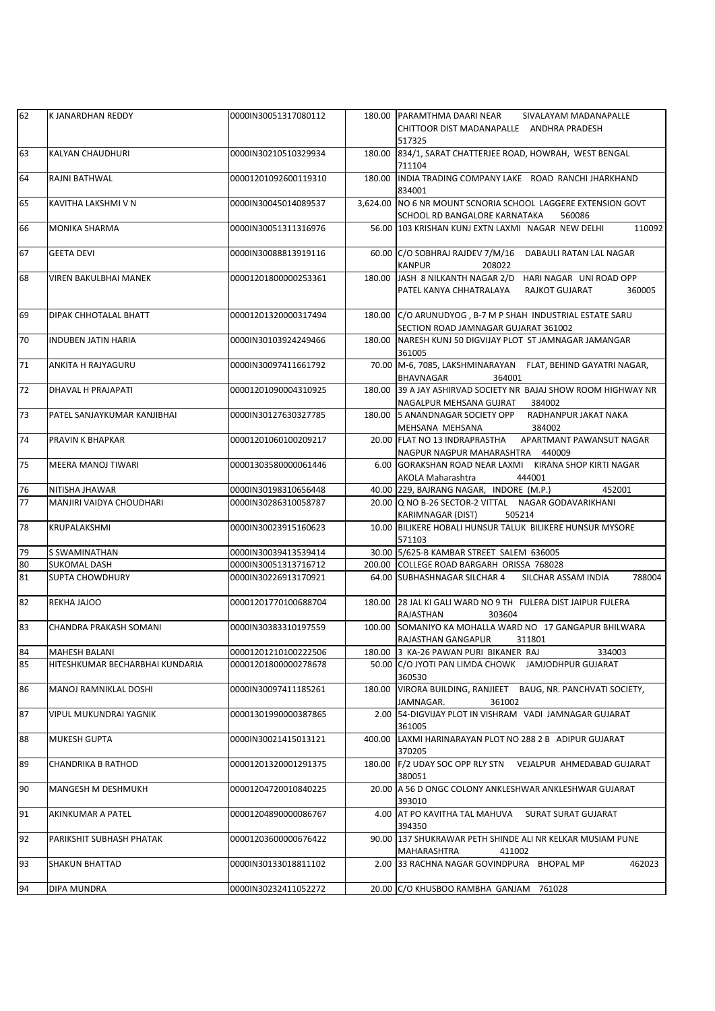| 62 | K JANARDHAN REDDY               | 0000IN30051317080112 |        | 180.00 PARAMTHMA DAARI NEAR<br>SIVALAYAM MADANAPALLE<br>CHITTOOR DIST MADANAPALLE ANDHRA PRADESH<br>517325   |
|----|---------------------------------|----------------------|--------|--------------------------------------------------------------------------------------------------------------|
| 63 | <b>KALYAN CHAUDHURI</b>         | 0000IN30210510329934 | 180.00 | 834/1, SARAT CHATTERJEE ROAD, HOWRAH, WEST BENGAL<br>711104                                                  |
| 64 | RAJNI BATHWAL                   | 00001201092600119310 |        | 180.00 INDIA TRADING COMPANY LAKE ROAD RANCHI JHARKHAND<br>834001                                            |
| 65 | KAVITHA LAKSHMI V N             | 0000IN30045014089537 |        | 3,624.00 NO 6 NR MOUNT SCNORIA SCHOOL LAGGERE EXTENSION GOVT<br>SCHOOL RD BANGALORE KARNATAKA<br>560086      |
| 66 | <b>MONIKA SHARMA</b>            | 0000IN30051311316976 |        | 56.00 103 KRISHAN KUNJ EXTN LAXMI NAGAR NEW DELHI<br>110092                                                  |
| 67 | <b>GEETA DEVI</b>               | 0000IN30088813919116 |        | 60.00 C/O SOBHRAJ RAJDEV 7/M/16 DABAULI RATAN LAL NAGAR<br>KANPUR<br>208022                                  |
| 68 | <b>VIREN BAKULBHAI MANEK</b>    | 00001201800000253361 |        | 180.00 JASH 8 NILKANTH NAGAR 2/D HARI NAGAR UNI ROAD OPP<br>PATEL KANYA CHHATRALAYA RAJKOT GUJARAT<br>360005 |
| 69 | DIPAK CHHOTALAL BHATT           | 00001201320000317494 |        | 180.00 C/O ARUNUDYOG, B-7 M P SHAH INDUSTRIAL ESTATE SARU<br>SECTION ROAD JAMNAGAR GUJARAT 361002            |
| 70 | <b>INDUBEN JATIN HARIA</b>      | 0000IN30103924249466 | 180.00 | NARESH KUNJ 50 DIGVIJAY PLOT ST JAMNAGAR JAMANGAR<br>361005                                                  |
| 71 | ANKITA H RAJYAGURU              | 0000IN30097411661792 |        | 70.00 M-6, 7085, LAKSHMINARAYAN FLAT, BEHIND GAYATRI NAGAR,<br>BHAVNAGAR<br>364001                           |
| 72 | DHAVAL H PRAJAPATI              | 00001201090004310925 |        | 180.00 39 A JAY ASHIRVAD SOCIETY NR BAJAJ SHOW ROOM HIGHWAY NR<br>NAGALPUR MEHSANA GUJRAT 384002             |
| 73 | PATEL SANJAYKUMAR KANJIBHAI     | 0000IN30127630327785 |        | 180.00 5 ANANDNAGAR SOCIETY OPP RADHANPUR JAKAT NAKA<br>MEHSANA MEHSANA<br>384002                            |
| 74 | PRAVIN K BHAPKAR                | 00001201060100209217 |        | 20.00 FLAT NO 13 INDRAPRASTHA APARTMANT PAWANSUT NAGAR<br>NAGPUR NAGPUR MAHARASHTRA 440009                   |
| 75 | MEERA MANOJ TIWARI              | 00001303580000061446 |        | 6.00 GORAKSHAN ROAD NEAR LAXMI KIRANA SHOP KIRTI NAGAR<br>AKOLA Maharashtra<br>444001                        |
| 76 | NITISHA JHAWAR                  | 0000IN30198310656448 |        | 40.00 229, BAJRANG NAGAR, INDORE (M.P.)<br>452001                                                            |
| 77 | <b>MANJIRI VAIDYA CHOUDHARI</b> | 0000IN30286310058787 |        | 20.00 Q NO B-26 SECTOR-2 VITTAL NAGAR GODAVARIKHANI<br>KARIMNAGAR (DIST)<br>505214                           |
| 78 | KRUPALAKSHMI                    | 0000IN30023915160623 |        | 10.00 BILIKERE HOBALI HUNSUR TALUK BILIKERE HUNSUR MYSORE<br>571103                                          |
| 79 | S SWAMINATHAN                   | 0000IN30039413539414 |        | 30.00 5/625-B KAMBAR STREET SALEM 636005                                                                     |
| 80 | <b>SUKOMAL DASH</b>             | 0000IN30051313716712 |        | 200.00 COLLEGE ROAD BARGARH ORISSA 768028                                                                    |
| 81 | <b>SUPTA CHOWDHURY</b>          | 0000IN30226913170921 |        | 64.00 SUBHASHNAGAR SILCHAR 4<br>SILCHAR ASSAM INDIA<br>788004                                                |
| 82 | REKHA JAJOO                     | 00001201770100688704 |        | 180.00 28 JAL KI GALI WARD NO 9 TH FULERA DIST JAIPUR FULERA<br><b>RAJASTHAN</b><br>303604                   |
| 83 | <b>CHANDRA PRAKASH SOMANI</b>   | 0000IN30383310197559 |        | 100.00 SOMANIYO KA MOHALLA WARD NO 17 GANGAPUR BHILWARA<br>RAJASTHAN GANGAPUR<br>311801                      |
| 84 | <b>MAHESH BALANI</b>            | 00001201210100222506 |        | 180.00 3 KA-26 PAWAN PURI BIKANER RAJ<br>334003                                                              |
| 85 | HITESHKUMAR BECHARBHAI KUNDARIA | 00001201800000278678 |        | 50.00 C/O JYOTI PAN LIMDA CHOWK JAMJODHPUR GUJARAT<br>360530                                                 |
| 86 | MANOJ RAMNIKLAL DOSHI           | 0000IN30097411185261 | 180.00 | VIRORA BUILDING, RANJIEET BAUG, NR. PANCHVATI SOCIETY,<br>JAMNAGAR.<br>361002                                |
| 87 | <b>VIPUL MUKUNDRAI YAGNIK</b>   | 00001301990000387865 |        | 2.00 54-DIGVIJAY PLOT IN VISHRAM VADI JAMNAGAR GUJARAT<br>361005                                             |
| 88 | <b>MUKESH GUPTA</b>             | 0000IN30021415013121 | 400.00 | LAXMI HARINARAYAN PLOT NO 288 2 B ADIPUR GUJARAT<br>370205                                                   |
| 89 | <b>CHANDRIKA B RATHOD</b>       | 00001201320001291375 | 180.00 | F/2 UDAY SOC OPP RLY STN  VEJALPUR AHMEDABAD GUJARAT<br>380051                                               |
| 90 | MANGESH M DESHMUKH              | 00001204720010840225 |        | 20.00 A 56 D ONGC COLONY ANKLESHWAR ANKLESHWAR GUJARAT<br>393010                                             |
| 91 | AKINKUMAR A PATEL               | 00001204890000086767 |        | 4.00 AT PO KAVITHA TAL MAHUVA<br>SURAT SURAT GUJARAT<br>394350                                               |
| 92 | PARIKSHIT SUBHASH PHATAK        | 00001203600000676422 |        | 90.00 137 SHUKRAWAR PETH SHINDE ALI NR KELKAR MUSIAM PUNE<br>MAHARASHTRA<br>411002                           |
| 93 | <b>SHAKUN BHATTAD</b>           | 0000IN30133018811102 |        | 2.00 33 RACHNA NAGAR GOVINDPURA BHOPAL MP<br>462023                                                          |
| 94 | DIPA MUNDRA                     | 0000IN30232411052272 |        | 20.00 C/O KHUSBOO RAMBHA GANJAM 761028                                                                       |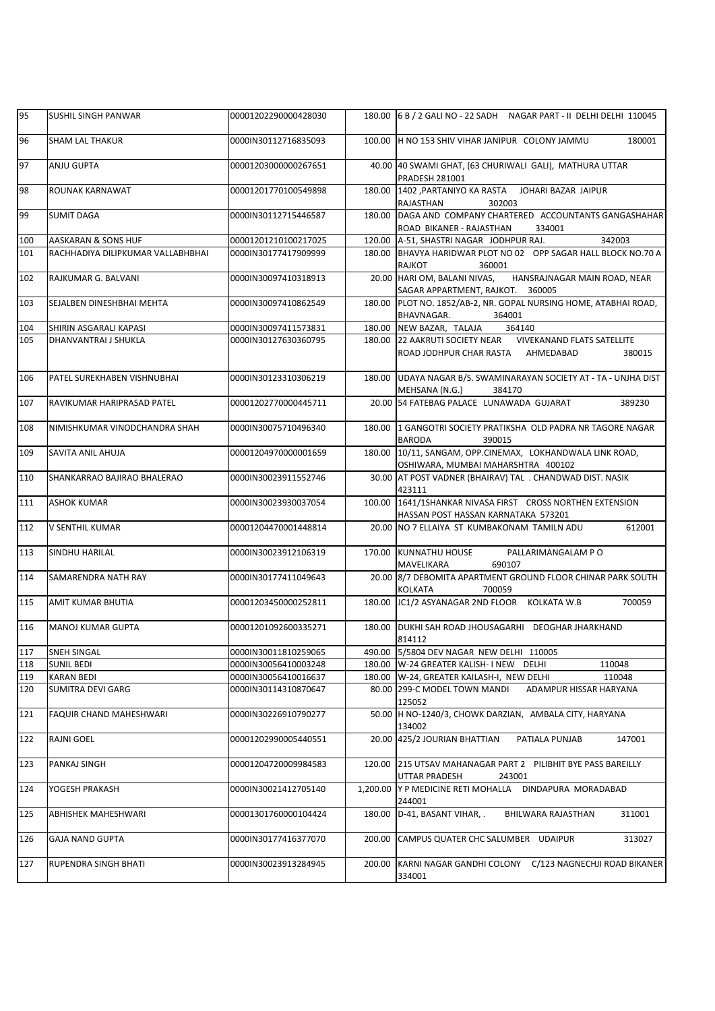| 95  | SUSHIL SINGH PANWAR               | 00001202290000428030 |          | 180.00 6 B / 2 GALI NO - 22 SADH NAGAR PART - II DELHI DELHI 110045                                      |
|-----|-----------------------------------|----------------------|----------|----------------------------------------------------------------------------------------------------------|
| 96  | <b>SHAM LAL THAKUR</b>            | 0000IN30112716835093 |          | 100.00 H NO 153 SHIV VIHAR JANIPUR COLONY JAMMU<br>180001                                                |
| 97  | ANJU GUPTA                        | 00001203000000267651 |          | 40.00 40 SWAMI GHAT, (63 CHURIWALI GALI), MATHURA UTTAR<br>PRADESH 281001                                |
| 98  | ROUNAK KARNAWAT                   | 00001201770100549898 |          | 180.00 1402 PARTANIYO KA RASTA JOHARI BAZAR JAIPUR<br>RAJASTHAN<br>302003                                |
| 99  | <b>SUMIT DAGA</b>                 | 0000IN30112715446587 |          | 180.00 DAGA AND COMPANY CHARTERED ACCOUNTANTS GANGASHAHAR<br>ROAD BIKANER - RAJASTHAN<br>334001          |
| 100 | AASKARAN & SONS HUF               | 00001201210100217025 |          | 120.00 A-51, SHASTRI NAGAR JODHPUR RAJ.<br>342003                                                        |
| 101 | RACHHADIYA DILIPKUMAR VALLABHBHAI | 0000IN30177417909999 |          | 180.00 BHAVYA HARIDWAR PLOT NO 02 OPP SAGAR HALL BLOCK NO.70 A<br>RAJKOT<br>360001                       |
| 102 | RAJKUMAR G. BALVANI               | 0000IN30097410318913 |          | 20.00 HARI OM, BALANI NIVAS,<br>HANSRAJNAGAR MAIN ROAD, NEAR<br>SAGAR APPARTMENT, RAJKOT. 360005         |
| 103 | SEJALBEN DINESHBHAI MEHTA         | 0000IN30097410862549 |          | 180.00 PLOT NO. 1852/AB-2, NR. GOPAL NURSING HOME, ATABHAI ROAD,<br>BHAVNAGAR.<br>364001                 |
| 104 | SHIRIN ASGARALI KAPASI            | 0000IN30097411573831 |          | 180.00 NEW BAZAR, TALAJA<br>364140                                                                       |
| 105 | DHANVANTRAI J SHUKLA              | 0000IN30127630360795 |          | 180.00 22 AAKRUTI SOCIETY NEAR VIVEKANAND FLATS SATELLITE<br>ROAD JODHPUR CHAR RASTA AHMEDABAD<br>380015 |
| 106 | PATEL SUREKHABEN VISHNUBHAI       | 0000IN30123310306219 |          | 180.00 UDAYA NAGAR B/S. SWAMINARAYAN SOCIETY AT - TA - UNJHA DIST<br>MEHSANA (N.G.)<br>384170            |
| 107 | RAVIKUMAR HARIPRASAD PATEL        | 00001202770000445711 |          | 20.00 54 FATEBAG PALACE LUNAWADA GUJARAT<br>389230                                                       |
| 108 | NIMISHKUMAR VINODCHANDRA SHAH     | 0000IN30075710496340 |          | 180.00 11 GANGOTRI SOCIETY PRATIKSHA OLD PADRA NR TAGORE NAGAR<br>BARODA<br>390015                       |
| 109 | SAVITA ANIL AHUJA                 | 00001204970000001659 |          | 180.00 10/11, SANGAM, OPP.CINEMAX, LOKHANDWALA LINK ROAD,<br>OSHIWARA, MUMBAI MAHARSHTRA 400102          |
| 110 | SHANKARRAO BAJIRAO BHALERAO       | 0000IN30023911552746 |          | 30.00 AT POST VADNER (BHAIRAV) TAL . CHANDWAD DIST. NASIK<br>423111                                      |
| 111 | <b>ASHOK KUMAR</b>                | 0000IN30023930037054 |          | 100.00 1641/1SHANKAR NIVASA FIRST CROSS NORTHEN EXTENSION<br>HASSAN POST HASSAN KARNATAKA 573201         |
| 112 | V SENTHIL KUMAR                   | 00001204470001448814 |          | 20.00 NO 7 ELLAIYA ST KUMBAKONAM TAMILN ADU<br>612001                                                    |
| 113 | SINDHU HARILAL                    | 0000IN30023912106319 |          | 170.00 KUNNATHU HOUSE<br>PALLARIMANGALAM PO<br>MAVELIKARA<br>690107                                      |
| 114 | SAMARENDRA NATH RAY               | 0000IN30177411049643 |          | 20.00 8/7 DEBOMITA APARTMENT GROUND FLOOR CHINAR PARK SOUTH<br>KOLKATA<br>700059                         |
| 115 | AMIT KUMAR BHUTIA                 | 00001203450000252811 |          | 180.00 JC1/2 ASYANAGAR 2ND FLOOR KOLKATA W.B<br>700059                                                   |
| 116 | <b>MANOJ KUMAR GUPTA</b>          | 00001201092600335271 |          | 180.00 DUKHI SAH ROAD JHOUSAGARHI DEOGHAR JHARKHAND<br>814112                                            |
| 117 | <b>SNEH SINGAL</b>                | 0000IN30011810259065 |          | 490.00 5/5804 DEV NAGAR NEW DELHI 110005                                                                 |
| 118 | <b>SUNIL BEDI</b>                 | 0000IN30056410003248 |          | 180.00 W-24 GREATER KALISH- I NEW DELHI<br>110048                                                        |
| 119 | KARAN BEDI                        | 0000IN30056410016637 |          | 180.00 W-24, GREATER KAILASH-I, NEW DELHI<br>110048                                                      |
| 120 | SUMITRA DEVI GARG                 | 0000IN30114310870647 |          | 80.00 299-C MODEL TOWN MANDI<br>ADAMPUR HISSAR HARYANA<br>125052                                         |
| 121 | FAQUIR CHAND MAHESHWARI           | 0000IN30226910790277 |          | 50.00 H NO-1240/3, CHOWK DARZIAN, AMBALA CITY, HARYANA<br>134002                                         |
| 122 | RAJNI GOEL                        | 00001202990005440551 |          | 20.00 425/2 JOURIAN BHATTIAN<br>147001<br>PATIALA PUNJAB                                                 |
| 123 | PANKAJ SINGH                      | 00001204720009984583 |          | 120.00 215 UTSAV MAHANAGAR PART 2 PILIBHIT BYE PASS BAREILLY<br>UTTAR PRADESH<br>243001                  |
| 124 | YOGESH PRAKASH                    | 0000IN30021412705140 | 1,200.00 | Y P MEDICINE RETI MOHALLA DINDAPURA MORADABAD<br>244001                                                  |
| 125 | ABHISHEK MAHESHWARI               | 00001301760000104424 |          | 180.00 D-41, BASANT VIHAR, .<br>BHILWARA RAJASTHAN<br>311001                                             |
| 126 | <b>GAJA NAND GUPTA</b>            | 0000IN30177416377070 | 200.00   | CAMPUS QUATER CHC SALUMBER UDAIPUR<br>313027                                                             |
| 127 | RUPENDRA SINGH BHATI              | 0000IN30023913284945 |          | 200.00 KARNI NAGAR GANDHI COLONY C/123 NAGNECHJI ROAD BIKANER<br>334001                                  |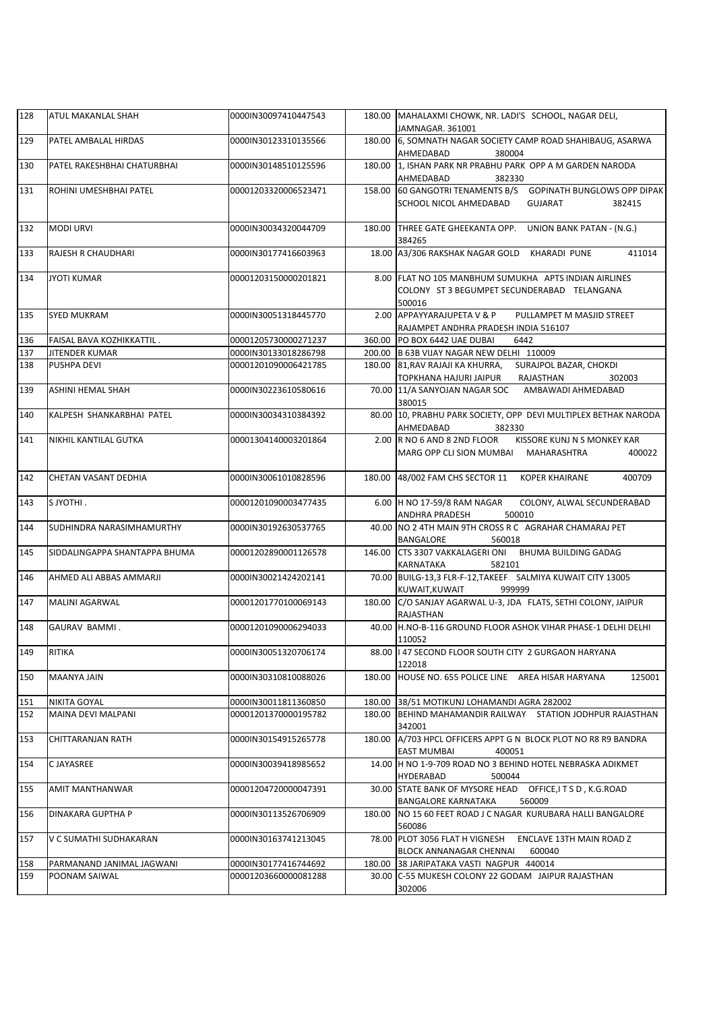| 128 | ATUL MAKANLAL SHAH            | 0000IN30097410447543 |        | 180.00 MAHALAXMI CHOWK, NR. LADI'S SCHOOL, NAGAR DELI,<br>JAMNAGAR, 361001                                     |
|-----|-------------------------------|----------------------|--------|----------------------------------------------------------------------------------------------------------------|
| 129 | PATEL AMBALAL HIRDAS          | 0000IN30123310135566 |        | 180.00 6, SOMNATH NAGAR SOCIETY CAMP ROAD SHAHIBAUG, ASARWA                                                    |
|     |                               |                      |        | AHMEDABAD<br>380004                                                                                            |
| 130 | PATEL RAKESHBHAI CHATURBHAI   | 0000IN30148510125596 |        | 180.00 1, ISHAN PARK NR PRABHU PARK OPP A M GARDEN NARODA<br>AHMEDABAD<br>382330                               |
| 131 | ROHINI UMESHBHAI PATEL        | 00001203320006523471 | 158.00 | 60 GANGOTRI TENAMENTS B/S  GOPINATH BUNGLOWS OPP DIPAK                                                         |
|     |                               |                      |        | SCHOOL NICOL AHMEDABAD<br>GUJARAT<br>382415                                                                    |
| 132 | <b>MODI URVI</b>              | 0000IN30034320044709 |        | 180.00 THREE GATE GHEEKANTA OPP. UNION BANK PATAN - (N.G.)<br>384265                                           |
| 133 | RAJESH R CHAUDHARI            | 0000IN30177416603963 |        | 18.00 A3/306 RAKSHAK NAGAR GOLD KHARADI PUNE<br>411014                                                         |
| 134 | <b>JYOTI KUMAR</b>            | 00001203150000201821 |        | 8.00 FLAT NO 105 MANBHUM SUMUKHA APTS INDIAN AIRLINES<br>COLONY ST 3 BEGUMPET SECUNDERABAD TELANGANA<br>500016 |
| 135 | <b>SYED MUKRAM</b>            | 0000IN30051318445770 |        | 2.00 APPAYYARAJUPETA V & P<br>PULLAMPET M MASJID STREET<br>RAJAMPET ANDHRA PRADESH INDIA 516107                |
| 136 | FAISAL BAVA KOZHIKKATTIL.     | 00001205730000271237 |        | 360.00 PO BOX 6442 UAE DUBAI<br>6442                                                                           |
| 137 | JITENDER KUMAR                | 0000IN30133018286798 |        | 200.00 B 63B VIJAY NAGAR NEW DELHI 110009                                                                      |
| 138 | PUSHPA DEVI                   | 00001201090006421785 |        | 180.00 81, RAV RAJAJI KA KHURRA, SURAJPOL BAZAR, CHOKDI                                                        |
|     |                               |                      |        | 302003<br>TOPKHANA HAJURI JAIPUR<br>RAJASTHAN                                                                  |
| 139 | ASHINI HEMAL SHAH             | 0000IN30223610580616 |        | 70.00   11/A SANYOJAN NAGAR SOC AMBAWADI AHMEDABAD<br>380015                                                   |
| 140 | KALPESH SHANKARBHAI PATEL     | 0000IN30034310384392 |        | 80.00 10, PRABHU PARK SOCIETY, OPP DEVI MULTIPLEX BETHAK NARODA<br>AHMEDABAD<br>382330                         |
| 141 | NIKHIL KANTILAL GUTKA         | 00001304140003201864 |        | 2.00 R NO 6 AND 8 2ND FLOOR<br>KISSORE KUNJ N S MONKEY KAR<br>MARG OPP CLI SION MUMBAI MAHARASHTRA<br>400022   |
| 142 | CHETAN VASANT DEDHIA          | 0000IN30061010828596 |        | 180.00 48/002 FAM CHS SECTOR 11 KOPER KHAIRANE<br>400709                                                       |
| 143 | S JYOTHI.                     | 00001201090003477435 |        | 6.00 H NO 17-59/8 RAM NAGAR<br>COLONY, ALWAL SECUNDERABAD<br>ANDHRA PRADESH<br>500010                          |
| 144 | SUDHINDRA NARASIMHAMURTHY     | 0000IN30192630537765 |        | 40.00 NO 2 4TH MAIN 9TH CROSS R C AGRAHAR CHAMARAJ PET<br>BANGALORE<br>560018                                  |
| 145 | SIDDALINGAPPA SHANTAPPA BHUMA | 00001202890001126578 |        | 146.00 CTS 3307 VAKKALAGERI ONI BHUMA BUILDING GADAG<br>KARNATAKA<br>582101                                    |
| 146 | AHMED ALI ABBAS AMMARJI       | 0000IN30021424202141 |        | 70.00 BUILG-13,3 FLR-F-12, TAKEEF SALMIYA KUWAIT CITY 13005<br>KUWAIT, KUWAIT<br>999999                        |
| 147 | MALINI AGARWAL                | 00001201770100069143 |        | 180.00 C/O SANJAY AGARWAL U-3, JDA FLATS, SETHI COLONY, JAIPUR<br>RAJASTHAN                                    |
| 148 | GAURAV BAMMI.                 | 00001201090006294033 |        | 40.00 H.NO-B-116 GROUND FLOOR ASHOK VIHAR PHASE-1 DELHI DELHI<br>110052                                        |
| 149 | RITIKA                        | 0000IN30051320706174 |        | 88.00   47 SECOND FLOOR SOUTH CITY 2 GURGAON HARYANA<br>122018                                                 |
| 150 | MAANYA JAIN                   | 0000IN30310810088026 | 180.00 | HOUSE NO. 655 POLICE LINE AREA HISAR HARYANA<br>125001                                                         |
| 151 | NIKITA GOYAL                  | 0000IN30011811360850 |        | 180.00 38/51 MOTIKUNJ LOHAMANDI AGRA 282002                                                                    |
| 152 | MAINA DEVI MALPANI            | 00001201370000195782 |        | 180.00 BEHIND MAHAMANDIR RAILWAY STATION JODHPUR RAJASTHAN<br>342001                                           |
| 153 | CHITTARANJAN RATH             | 0000IN30154915265778 | 180.00 | A/703 HPCL OFFICERS APPT G N BLOCK PLOT NO R8 R9 BANDRA<br><b>EAST MUMBAI</b><br>400051                        |
| 154 | C JAYASREE                    | 0000IN30039418985652 |        | 14.00 H NO 1-9-709 ROAD NO 3 BEHIND HOTEL NEBRASKA ADIKMET<br>HYDERABAD<br>500044                              |
| 155 | AMIT MANTHANWAR               | 00001204720000047391 |        | 30.00 STATE BANK OF MYSORE HEAD OFFICE, IT S D, K.G.ROAD<br><b>BANGALORE KARNATAKA</b><br>560009               |
| 156 | DINAKARA GUPTHA P             | 0000IN30113526706909 |        | 180.00   NO 15 60 FEET ROAD J C NAGAR KURUBARA HALLI BANGALORE<br>560086                                       |
| 157 | V C SUMATHI SUDHAKARAN        | 0000IN30163741213045 |        | 78.00 PLOT 3056 FLAT H VIGNESH<br>ENCLAVE 13TH MAIN ROAD Z<br>BLOCK ANNANAGAR CHENNAI<br>600040                |
| 158 | PARMANAND JANIMAL JAGWANI     | 0000IN30177416744692 |        | 180.00 38 JARIPATAKA VASTI NAGPUR 440014                                                                       |
| 159 | POONAM SAIWAL                 | 00001203660000081288 |        | 30.00 C-55 MUKESH COLONY 22 GODAM JAIPUR RAJASTHAN<br>302006                                                   |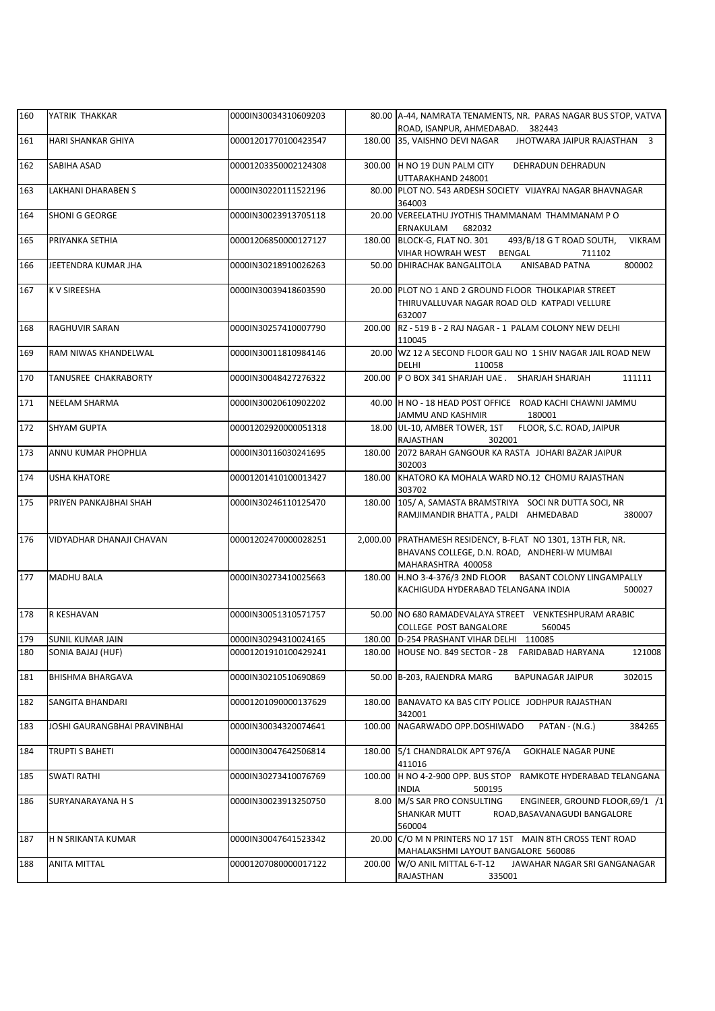| 160 | YATRIK THAKKAR               | 0000IN30034310609203 |        | 80.00 A-44, NAMRATA TENAMENTS, NR. PARAS NAGAR BUS STOP, VATVA<br>ROAD, ISANPUR, AHMEDABAD. 382443                                 |
|-----|------------------------------|----------------------|--------|------------------------------------------------------------------------------------------------------------------------------------|
| 161 | HARI SHANKAR GHIYA           | 00001201770100423547 | 180.00 | JHOTWARA JAIPUR RAJASTHAN 3<br>35, VAISHNO DEVI NAGAR                                                                              |
|     |                              |                      |        |                                                                                                                                    |
| 162 | SABIHA ASAD                  | 00001203350002124308 |        | 300.00 H NO 19 DUN PALM CITY<br>DEHRADUN DEHRADUN<br>UTTARAKHAND 248001                                                            |
| 163 | LAKHANI DHARABEN S           | 0000IN30220111522196 |        | 80.00 PLOT NO. 543 ARDESH SOCIETY VIJAYRAJ NAGAR BHAVNAGAR<br>364003                                                               |
| 164 | SHONI G GEORGE               | 0000IN30023913705118 |        | 20.00 VEREELATHU JYOTHIS THAMMANAM THAMMANAM PO<br>ERNAKULAM<br>682032                                                             |
| 165 | PRIYANKA SETHIA              | 00001206850000127127 | 180.00 | BLOCK-G, FLAT NO. 301<br>493/B/18 G T ROAD SOUTH,<br><b>VIKRAM</b><br>VIHAR HOWRAH WEST BENGAL<br>711102                           |
| 166 | JEETENDRA KUMAR JHA          | 0000IN30218910026263 |        | 50.00 DHIRACHAK BANGALITOLA<br>ANISABAD PATNA<br>800002                                                                            |
| 167 | <b>K V SIREESHA</b>          | 0000IN30039418603590 |        | 20.00 PLOT NO 1 AND 2 GROUND FLOOR THOLKAPIAR STREET<br>THIRUVALLUVAR NAGAR ROAD OLD KATPADI VELLURE<br>632007                     |
| 168 | RAGHUVIR SARAN               | 0000IN30257410007790 | 200.00 | RZ - 519 B - 2 RAJ NAGAR - 1 PALAM COLONY NEW DELHI<br>110045                                                                      |
| 169 | RAM NIWAS KHANDELWAL         | 0000IN30011810984146 |        | 20.00 WZ 12 A SECOND FLOOR GALI NO 1 SHIV NAGAR JAIL ROAD NEW<br><b>DELHI</b><br>110058                                            |
| 170 | TANUSREE CHAKRABORTY         | 0000IN30048427276322 | 200.00 | P O BOX 341 SHARJAH UAE . SHARJAH SHARJAH<br>111111                                                                                |
| 171 | <b>NEELAM SHARMA</b>         | 0000IN30020610902202 |        | 40.00 H NO - 18 HEAD POST OFFICE ROAD KACHI CHAWNI JAMMU<br>JAMMU AND KASHMIR<br>180001                                            |
| 172 | <b>SHYAM GUPTA</b>           | 00001202920000051318 |        | 18.00 UL-10, AMBER TOWER, 1ST FLOOR, S.C. ROAD, JAIPUR<br>RAJASTHAN<br>302001                                                      |
| 173 | ANNU KUMAR PHOPHLIA          | 0000IN30116030241695 | 180.00 | 2072 BARAH GANGOUR KA RASTA JOHARI BAZAR JAIPUR<br>302003                                                                          |
| 174 | <b>USHA KHATORE</b>          | 00001201410100013427 | 180.00 | KHATORO KA MOHALA WARD NO.12 CHOMU RAJASTHAN<br>303702                                                                             |
| 175 | PRIYEN PANKAJBHAI SHAH       | 0000IN30246110125470 |        | 180.00 105/ A, SAMASTA BRAMSTRIYA SOCI NR DUTTA SOCI, NR<br>380007<br>RAMJIMANDIR BHATTA, PALDI AHMEDABAD                          |
| 176 | VIDYADHAR DHANAJI CHAVAN     | 00001202470000028251 |        | 2,000.00 PRATHAMESH RESIDENCY, B-FLAT NO 1301, 13TH FLR, NR.<br>BHAVANS COLLEGE, D.N. ROAD, ANDHERI-W MUMBAI<br>MAHARASHTRA 400058 |
| 177 | <b>MADHU BALA</b>            | 0000IN30273410025663 |        | 180.00 H.NO 3-4-376/3 2ND FLOOR BASANT COLONY LINGAMPALLY<br>KACHIGUDA HYDERABAD TELANGANA INDIA<br>500027                         |
| 178 | R KESHAVAN                   | 0000IN30051310571757 |        | 50.00 NO 680 RAMADEVALAYA STREET VENKTESHPURAM ARABIC<br>COLLEGE POST BANGALORE<br>560045                                          |
| 179 | <b>SUNIL KUMAR JAIN</b>      | 0000IN30294310024165 |        | 180.00 D-254 PRASHANT VIHAR DELHI 110085                                                                                           |
| 180 | SONIA BAJAJ (HUF)            | 00001201910100429241 |        | 180.00 HOUSE NO. 849 SECTOR - 28 FARIDABAD HARYANA<br>121008                                                                       |
| 181 | <b>BHISHMA BHARGAVA</b>      | 0000IN30210510690869 |        | 50.00 B-203, RAJENDRA MARG<br>BAPUNAGAR JAIPUR<br>302015                                                                           |
| 182 | SANGITA BHANDARI             | 00001201090000137629 | 180.00 | BANAVATO KA BAS CITY POLICE JODHPUR RAJASTHAN<br>342001                                                                            |
| 183 | JOSHI GAURANGBHAI PRAVINBHAI | 0000IN30034320074641 | 100.00 | NAGARWADO OPP.DOSHIWADO<br>PATAN - (N.G.)<br>384265                                                                                |
| 184 | TRUPTI S BAHETI              | 0000IN30047642506814 | 180.00 | 5/1 CHANDRALOK APT 976/A<br><b>GOKHALE NAGAR PUNE</b><br>411016                                                                    |
| 185 | SWATI RATHI                  | 0000IN30273410076769 | 100.00 | H NO 4-2-900 OPP. BUS STOP<br>RAMKOTE HYDERABAD TELANGANA<br><b>INDIA</b><br>500195                                                |
| 186 | SURYANARAYANA H S            | 0000IN30023913250750 |        | 8.00 M/S SAR PRO CONSULTING<br>ENGINEER, GROUND FLOOR, 69/1 /1<br>SHANKAR MUTT<br>ROAD, BASAVANAGUDI BANGALORE<br>560004           |
| 187 | H N SRIKANTA KUMAR           | 0000IN30047641523342 | 20.00  | C/O M N PRINTERS NO 17 1ST MAIN 8TH CROSS TENT ROAD<br>MAHALAKSHMI LAYOUT BANGALORE 560086                                         |
| 188 | <b>ANITA MITTAL</b>          | 00001207080000017122 | 200.00 | W/O ANIL MITTAL 6-T-12<br>JAWAHAR NAGAR SRI GANGANAGAR<br>RAJASTHAN<br>335001                                                      |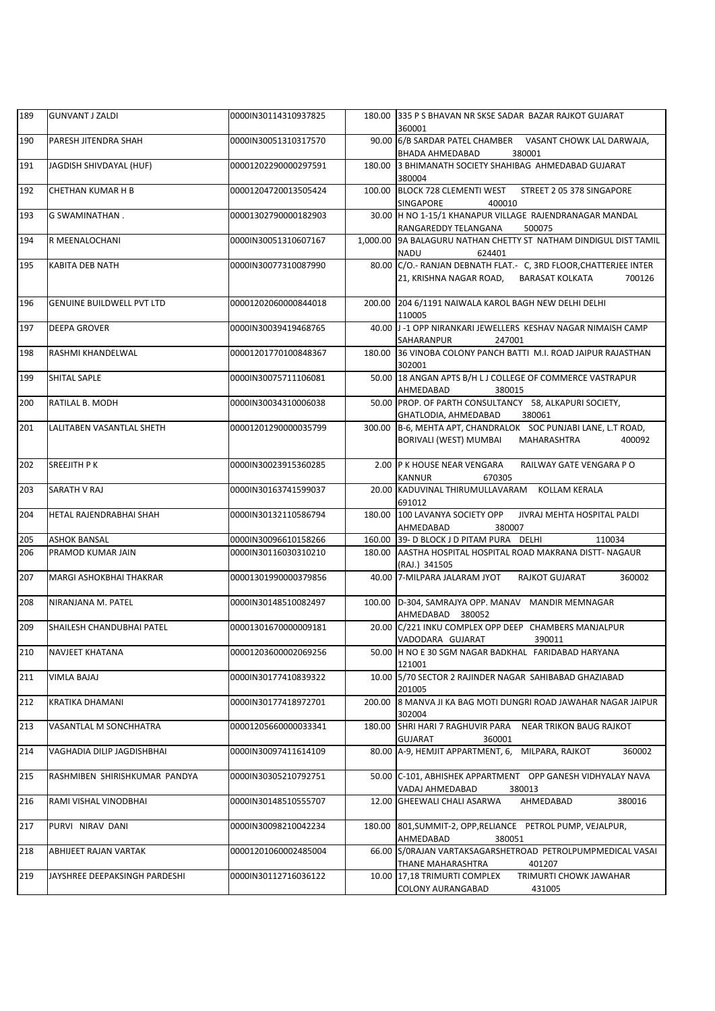| 189 | <b>GUNVANT J ZALDI</b>           | 0000IN30114310937825 |          | 180.00 335 P S BHAVAN NR SKSE SADAR BAZAR RAJKOT GUJARAT<br>360001                                                       |
|-----|----------------------------------|----------------------|----------|--------------------------------------------------------------------------------------------------------------------------|
| 190 | PARESH JITENDRA SHAH             | 0000IN30051310317570 |          | 90.00 6/B SARDAR PATEL CHAMBER VASANT CHOWK LAL DARWAJA,<br>BHADA AHMEDABAD<br>380001                                    |
| 191 | JAGDISH SHIVDAYAL (HUF)          | 00001202290000297591 |          | 180.00 3 BHIMANATH SOCIETY SHAHIBAG AHMEDABAD GUJARAT<br>380004                                                          |
| 192 | CHETHAN KUMAR H B                | 00001204720013505424 | 100.00   | BLOCK 728 CLEMENTI WEST STREET 2 05 378 SINGAPORE<br><b>SINGAPORE</b><br>400010                                          |
| 193 | G SWAMINATHAN.                   | 00001302790000182903 |          | 30.00 H NO 1-15/1 KHANAPUR VILLAGE RAJENDRANAGAR MANDAL<br>RANGAREDDY TELANGANA<br>500075                                |
| 194 | R MEENALOCHANI                   | 0000IN30051310607167 | 1,000.00 | 9A BALAGURU NATHAN CHETTY ST NATHAM DINDIGUL DIST TAMIL<br><b>NADU</b><br>624401                                         |
| 195 | KABITA DEB NATH                  | 0000IN30077310087990 |          | 80.00 C/O.- RANJAN DEBNATH FLAT.- C, 3RD FLOOR, CHATTERJEE INTER<br>21, KRISHNA NAGAR ROAD,<br>BARASAT KOLKATA<br>700126 |
| 196 | <b>GENUINE BUILDWELL PVT LTD</b> | 00001202060000844018 |          | 200.00 204 6/1191 NAIWALA KAROL BAGH NEW DELHI DELHI<br>110005                                                           |
| 197 | <b>DEEPA GROVER</b>              | 0000IN30039419468765 |          | 40.00 J -1 OPP NIRANKARI JEWELLERS KESHAV NAGAR NIMAISH CAMP<br>SAHARANPUR<br>247001                                     |
| 198 | RASHMI KHANDELWAL                | 00001201770100848367 |          | 180.00 36 VINOBA COLONY PANCH BATTI M.I. ROAD JAIPUR RAJASTHAN<br>302001                                                 |
| 199 | SHITAL SAPLE                     | 0000IN30075711106081 |          | 50.00 18 ANGAN APTS B/H LJ COLLEGE OF COMMERCE VASTRAPUR<br>380015<br>AHMEDABAD                                          |
| 200 | RATILAL B. MODH                  | 0000IN30034310006038 |          | 50.00 PROP. OF PARTH CONSULTANCY 58, ALKAPURI SOCIETY,<br>380061<br>GHATLODIA, AHMEDABAD                                 |
| 201 | LALITABEN VASANTLAL SHETH        | 00001201290000035799 | 300.00   | B-6, MEHTA APT, CHANDRALOK SOC PUNJABI LANE, L.T ROAD,<br>BORIVALI (WEST) MUMBAI<br>MAHARASHTRA<br>400092                |
| 202 | SREEJITH P K                     | 0000IN30023915360285 |          | 2.00 P K HOUSE NEAR VENGARA<br>RAILWAY GATE VENGARA PO<br>KANNUR<br>670305                                               |
| 203 | SARATH V RAJ                     | 0000IN30163741599037 |          | 20.00 KADUVINAL THIRUMULLAVARAM KOLLAM KERALA<br>691012                                                                  |
| 204 | HETAL RAJENDRABHAI SHAH          | 0000IN30132110586794 | 180.00   | 100 LAVANYA SOCIETY OPP<br>JIVRAJ MEHTA HOSPITAL PALDI<br>AHMEDABAD<br>380007                                            |
| 205 | <b>ASHOK BANSAL</b>              | 0000IN30096610158266 |          | 160.00 39- D BLOCK J D PITAM PURA DELHI<br>110034                                                                        |
| 206 | PRAMOD KUMAR JAIN                | 0000IN30116030310210 |          | 180.00 AASTHA HOSPITAL HOSPITAL ROAD MAKRANA DISTT- NAGAUR<br>(RAJ.) 341505                                              |
| 207 | MARGI ASHOKBHAI THAKRAR          | 00001301990000379856 |          | 40.00 7-MILPARA JALARAM JYOT<br><b>RAJKOT GUJARAT</b><br>360002                                                          |
| 208 | NIRANJANA M. PATEL               | 0000IN30148510082497 |          | 100.00 D-304, SAMRAJYA OPP. MANAV MANDIR MEMNAGAR<br>AHMEDABAD 380052                                                    |
| 209 | SHAILESH CHANDUBHAI PATEL        | 00001301670000009181 |          | 20.00 C/221 INKU COMPLEX OPP DEEP CHAMBERS MANJALPUR<br>VADODARA GUJARAT<br>390011                                       |
| 210 | NAVJEET KHATANA                  | 00001203600002069256 |          | 50.00 H NO E 30 SGM NAGAR BADKHAL FARIDABAD HARYANA<br>121001                                                            |
| 211 | VIMLA BAJAJ                      | 0000IN30177410839322 |          | 10.00 5/70 SECTOR 2 RAJINDER NAGAR SAHIBABAD GHAZIABAD<br>201005                                                         |
| 212 | <b>KRATIKA DHAMANI</b>           | 0000IN30177418972701 | 200.00   | 8 MANVA JI KA BAG MOTI DUNGRI ROAD JAWAHAR NAGAR JAIPUR<br>302004                                                        |
| 213 | VASANTLAL M SONCHHATRA           | 00001205660000033341 | 180.00   | SHRI HARI 7 RAGHUVIR PARA NEAR TRIKON BAUG RAJKOT<br><b>GUJARAT</b><br>360001                                            |
| 214 | VAGHADIA DILIP JAGDISHBHAI       | 0000IN30097411614109 |          | 80.00 A-9, HEMJIT APPARTMENT, 6, MILPARA, RAJKOT<br>360002                                                               |
| 215 | RASHMIBEN SHIRISHKUMAR PANDYA    | 0000IN30305210792751 |          | 50.00 C-101, ABHISHEK APPARTMENT OPP GANESH VIDHYALAY NAVA<br>VADAJ AHMEDABAD<br>380013                                  |
| 216 | RAMI VISHAL VINODBHAI            | 0000IN30148510555707 |          | AHMEDABAD<br>12.00 GHEEWALI CHALI ASARWA<br>380016                                                                       |
| 217 | PURVI NIRAV DANI                 | 0000IN30098210042234 | 180.00   | 801, SUMMIT-2, OPP, RELIANCE PETROL PUMP, VEJALPUR,<br>AHMEDABAD<br>380051                                               |
| 218 | ABHIJEET RAJAN VARTAK            | 00001201060002485004 |          | 66.00 S/ORAJAN VARTAKSAGARSHETROAD PETROLPUMPMEDICAL VASAI<br>THANE MAHARASHTRA<br>401207                                |
| 219 | JAYSHREE DEEPAKSINGH PARDESHI    | 0000IN30112716036122 |          | 10.00 17,18 TRIMURTI COMPLEX<br>TRIMURTI CHOWK JAWAHAR<br>COLONY AURANGABAD<br>431005                                    |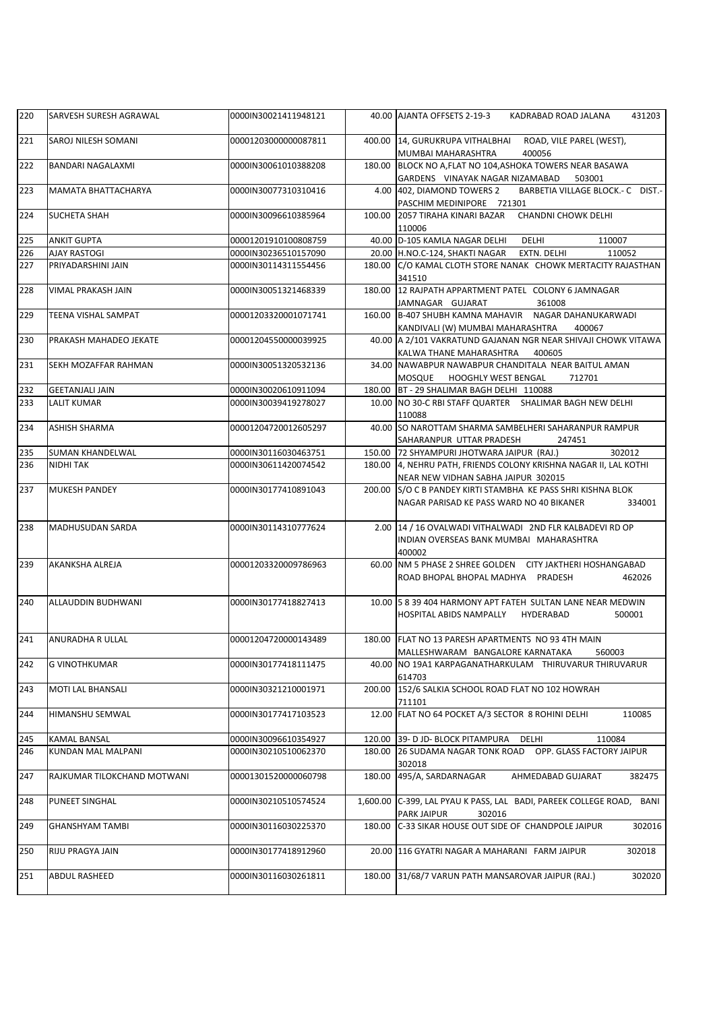| 220 | SARVESH SURESH AGRAWAL      | 0000IN30021411948121 |          | 40.00 AJANTA OFFSETS 2-19-3<br>KADRABAD ROAD JALANA<br>431203                                                      |
|-----|-----------------------------|----------------------|----------|--------------------------------------------------------------------------------------------------------------------|
| 221 | SAROJ NILESH SOMANI         | 00001203000000087811 |          | 400.00 14, GURUKRUPA VITHALBHAI ROAD, VILE PAREL (WEST),<br>400056<br>MUMBAI MAHARASHTRA                           |
| 222 | <b>BANDARI NAGALAXMI</b>    | 0000IN30061010388208 |          | 180.00 BLOCK NO A, FLAT NO 104, ASHOKA TOWERS NEAR BASAWA<br>GARDENS VINAYAK NAGAR NIZAMABAD<br>503001             |
| 223 | <b>MAMATA BHATTACHARYA</b>  | 0000IN30077310310416 |          | 4.00 402, DIAMOND TOWERS 2<br>BARBETIA VILLAGE BLOCK.- C DIST.-<br>PASCHIM MEDINIPORE 721301                       |
| 224 | <b>SUCHETA SHAH</b>         | 0000IN30096610385964 |          | 100.00 2057 TIRAHA KINARI BAZAR CHANDNI CHOWK DELHI<br>110006                                                      |
| 225 | <b>ANKIT GUPTA</b>          | 00001201910100808759 |          | 40.00 D-105 KAMLA NAGAR DELHI<br>DELHI<br>110007                                                                   |
| 226 | <b>AJAY RASTOGI</b>         | 0000IN30236510157090 |          | 20.00 H.NO.C-124, SHAKTI NAGAR EXTN. DELHI<br>110052                                                               |
| 227 | PRIYADARSHINI JAIN          | 0000IN30114311554456 |          | 180.00 C/O KAMAL CLOTH STORE NANAK CHOWK MERTACITY RAJASTHAN<br>341510                                             |
| 228 | <b>VIMAL PRAKASH JAIN</b>   | 0000IN30051321468339 |          | 180.00 12 RAJPATH APPARTMENT PATEL COLONY 6 JAMNAGAR<br>JAMNAGAR GUJARAT<br>361008                                 |
| 229 | <b>TEENA VISHAL SAMPAT</b>  | 00001203320001071741 |          | 160.00 B-407 SHUBH KAMNA MAHAVIR NAGAR DAHANUKARWADI<br>KANDIVALI (W) MUMBAI MAHARASHTRA<br>400067                 |
| 230 | PRAKASH MAHADEO JEKATE      | 00001204550000039925 |          | 40.00 A 2/101 VAKRATUND GAJANAN NGR NEAR SHIVAJI CHOWK VITAWA<br>KALWA THANE MAHARASHTRA<br>400605                 |
| 231 | SEKH MOZAFFAR RAHMAN        | 0000IN30051320532136 |          | 34.00 NAWABPUR NAWABPUR CHANDITALA NEAR BAITUL AMAN<br>MOSQUE HOOGHLY WEST BENGAL<br>712701                        |
| 232 | <b>GEETANJALI JAIN</b>      | 0000IN30020610911094 |          | 180.00 BT - 29 SHALIMAR BAGH DELHI 110088                                                                          |
| 233 | <b>LALIT KUMAR</b>          | 0000IN30039419278027 |          | 10.00 NO 30-C RBI STAFF QUARTER SHALIMAR BAGH NEW DELHI<br>110088                                                  |
| 234 | <b>ASHISH SHARMA</b>        | 00001204720012605297 |          | 40.00 SO NAROTTAM SHARMA SAMBELHERI SAHARANPUR RAMPUR<br>SAHARANPUR UTTAR PRADESH<br>247451                        |
| 235 | SUMAN KHANDELWAL            | 0000IN30116030463751 |          | 150.00 72 SHYAMPURI JHOTWARA JAIPUR (RAJ.)<br>302012                                                               |
| 236 | NIDHI TAK                   | 0000IN30611420074542 |          | 180.00 4, NEHRU PATH, FRIENDS COLONY KRISHNA NAGAR II, LAL KOTHI                                                   |
|     |                             |                      |          | NEAR NEW VIDHAN SABHA JAIPUR 302015                                                                                |
| 237 | <b>MUKESH PANDEY</b>        | 0000IN30177410891043 |          | 200.00 S/O C B PANDEY KIRTI STAMBHA KE PASS SHRI KISHNA BLOK<br>NAGAR PARISAD KE PASS WARD NO 40 BIKANER<br>334001 |
| 238 | MADHUSUDAN SARDA            | 0000IN30114310777624 |          | 2.00 14 / 16 OVALWADI VITHALWADI 2ND FLR KALBADEVI RD OP<br>INDIAN OVERSEAS BANK MUMBAI MAHARASHTRA<br>400002      |
| 239 | AKANKSHA ALREJA             | 00001203320009786963 |          | 60.00 NM 5 PHASE 2 SHREE GOLDEN CITY JAKTHERI HOSHANGABAD<br>ROAD BHOPAL BHOPAL MADHYA PRADESH<br>462026           |
| 240 | ALLAUDDIN BUDHWANI          | 0000IN30177418827413 |          | 10.00 5 8 39 404 HARMONY APT FATEH SULTAN LANE NEAR MEDWIN<br>500001<br>HOSPITAL ABIDS NAMPALLY<br>HYDERABAD       |
| 241 | <b>ANURADHA R ULLAL</b>     | 00001204720000143489 |          | 180.00 FLAT NO 13 PARESH APARTMENTS NO 93 4TH MAIN<br>MALLESHWARAM BANGALORE KARNATAKA<br>560003                   |
| 242 | <b>G VINOTHKUMAR</b>        | 0000IN30177418111475 |          | 40.00 NO 19A1 KARPAGANATHARKULAM THIRUVARUR THIRUVARUR<br>614703                                                   |
| 243 | MOTI LAL BHANSALI           | 0000IN30321210001971 | 200.00   | 152/6 SALKIA SCHOOL ROAD FLAT NO 102 HOWRAH<br>711101                                                              |
| 244 | HIMANSHU SEMWAL             | 0000IN30177417103523 |          | 12.00 FLAT NO 64 POCKET A/3 SECTOR 8 ROHINI DELHI<br>110085                                                        |
| 245 | <b>KAMAL BANSAL</b>         | 0000IN30096610354927 | 120.00   | 39- D JD- BLOCK PITAMPURA<br>DELHI<br>110084                                                                       |
| 246 | <b>KUNDAN MAL MALPANI</b>   | 0000IN30210510062370 | 180.00   | 26 SUDAMA NAGAR TONK ROAD OPP. GLASS FACTORY JAIPUR<br>302018                                                      |
| 247 | RAJKUMAR TILOKCHAND MOTWANI | 00001301520000060798 | 180.00   | 495/A, SARDARNAGAR<br>AHMEDABAD GUJARAT<br>382475                                                                  |
| 248 | <b>PUNEET SINGHAL</b>       | 0000IN30210510574524 | 1,600.00 | C-399, LAL PYAU K PASS, LAL BADI, PAREEK COLLEGE ROAD,<br>BANI<br>PARK JAIPUR<br>302016                            |
| 249 | <b>GHANSHYAM TAMBI</b>      | 0000IN30116030225370 | 180.00   | C-33 SIKAR HOUSE OUT SIDE OF CHANDPOLE JAIPUR<br>302016                                                            |
| 250 | RIJU PRAGYA JAIN            | 0000IN30177418912960 |          | 20.00 116 GYATRI NAGAR A MAHARANI FARM JAIPUR<br>302018                                                            |
| 251 | <b>ABDUL RASHEED</b>        | 0000IN30116030261811 | 180.00   | 31/68/7 VARUN PATH MANSAROVAR JAIPUR (RAJ.)<br>302020                                                              |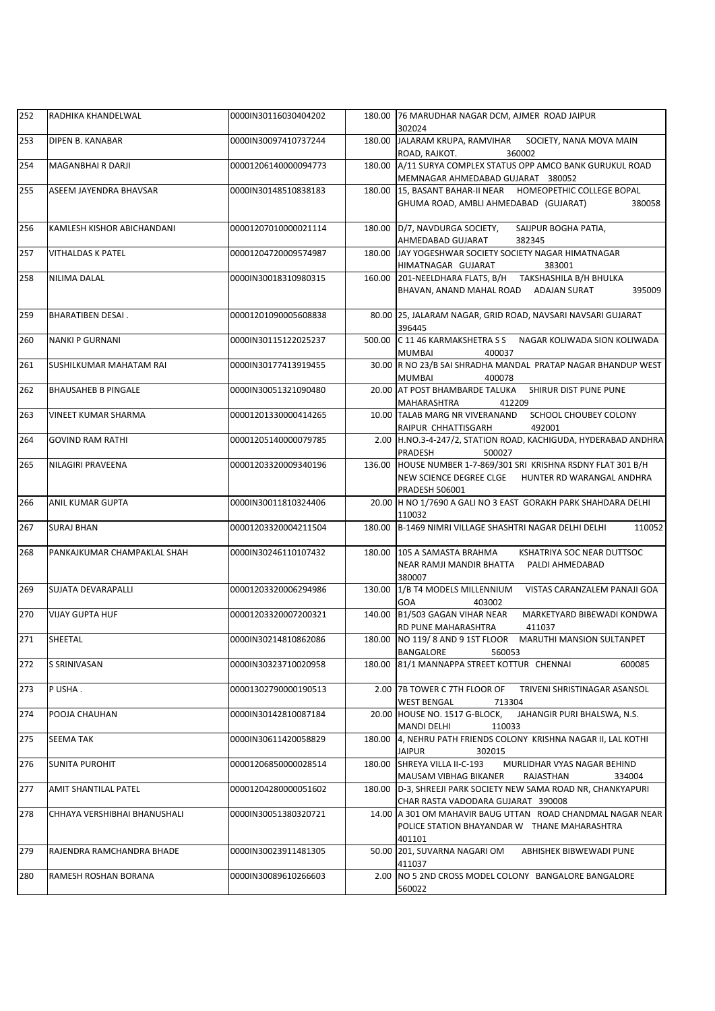| 252 | RADHIKA KHANDELWAL           | 0000IN30116030404202 |        | 180.00 76 MARUDHAR NAGAR DCM, AJMER ROAD JAIPUR<br>302024                                                                             |
|-----|------------------------------|----------------------|--------|---------------------------------------------------------------------------------------------------------------------------------------|
| 253 | DIPEN B. KANABAR             | 0000IN30097410737244 | 180.00 | JALARAM KRUPA, RAMVIHAR SOCIETY, NANA MOVA MAIN<br>ROAD, RAJKOT.<br>360002                                                            |
| 254 | MAGANBHAI R DARJI            | 00001206140000094773 |        | 180.00 A/11 SURYA COMPLEX STATUS OPP AMCO BANK GURUKUL ROAD<br>MEMNAGAR AHMEDABAD GUJARAT 380052                                      |
| 255 | ASEEM JAYENDRA BHAVSAR       | 0000IN30148510838183 | 180.00 | 15, BASANT BAHAR-II NEAR HOMEOPETHIC COLLEGE BOPAL<br>GHUMA ROAD, AMBLI AHMEDABAD (GUJARAT)<br>380058                                 |
| 256 | KAMLESH KISHOR ABICHANDANI   | 00001207010000021114 |        | 180.00 D/7, NAVDURGA SOCIETY,<br>SAIJPUR BOGHA PATIA,<br>AHMEDABAD GUJARAT<br>382345                                                  |
| 257 | <b>VITHALDAS K PATEL</b>     | 00001204720009574987 |        | 180.00 JAY YOGESHWAR SOCIETY SOCIETY NAGAR HIMATNAGAR<br>HIMATNAGAR GUJARAT<br>383001                                                 |
| 258 | NILIMA DALAL                 | 0000IN30018310980315 |        | 160.00 201-NEELDHARA FLATS, B/H TAKSHASHILA B/H BHULKA<br>BHAVAN, ANAND MAHAL ROAD ADAJAN SURAT<br>395009                             |
| 259 | <b>BHARATIBEN DESAI.</b>     | 00001201090005608838 |        | 80.00 25, JALARAM NAGAR, GRID ROAD, NAVSARI NAVSARI GUJARAT<br>396445                                                                 |
| 260 | NANKI P GURNANI              | 0000IN30115122025237 |        | 500.00 C 11 46 KARMAKSHETRA S S NAGAR KOLIWADA SION KOLIWADA<br>MUMBAI<br>400037                                                      |
| 261 | SUSHILKUMAR MAHATAM RAI      | 0000IN30177413919455 |        | 30.00 R NO 23/B SAI SHRADHA MANDAL PRATAP NAGAR BHANDUP WEST<br>400078<br>MUMBAI                                                      |
| 262 | <b>BHAUSAHEB B PINGALE</b>   | 0000IN30051321090480 |        | 20.00 AT POST BHAMBARDE TALUKA SHIRUR DIST PUNE PUNE<br>412209<br>MAHARASHTRA                                                         |
| 263 | VINEET KUMAR SHARMA          | 00001201330000414265 |        | 10.00 TALAB MARG NR VIVERANAND<br>SCHOOL CHOUBEY COLONY<br>492001<br>RAIPUR CHHATTISGARH                                              |
| 264 | <b>GOVIND RAM RATHI</b>      | 00001205140000079785 |        | 2.00 H.NO.3-4-247/2, STATION ROAD, KACHIGUDA, HYDERABAD ANDHRA<br>PRADESH<br>500027                                                   |
| 265 | NILAGIRI PRAVEENA            | 00001203320009340196 | 136.00 | HOUSE NUMBER 1-7-869/301 SRI KRISHNA RSDNY FLAT 301 B/H<br>NEW SCIENCE DEGREE CLGE HUNTER RD WARANGAL ANDHRA<br><b>PRADESH 506001</b> |
| 266 | ANIL KUMAR GUPTA             | 0000IN30011810324406 |        | 20.00 H NO 1/7690 A GALI NO 3 EAST GORAKH PARK SHAHDARA DELHI<br>110032                                                               |
| 267 | SURAJ BHAN                   | 00001203320004211504 | 180.00 | B-1469 NIMRI VILLAGE SHASHTRI NAGAR DELHI DELHI<br>110052                                                                             |
| 268 | PANKAJKUMAR CHAMPAKLAL SHAH  | 0000IN30246110107432 |        | 180.00 105 A SAMASTA BRAHMA<br>KSHATRIYA SOC NEAR DUTTSOC<br>NEAR RAMJI MANDIR BHATTA<br>PALDI AHMEDABAD<br>380007                    |
| 269 | SUJATA DEVARAPALLI           | 00001203320006294986 |        | 130.00 1/B T4 MODELS MILLENNIUM VISTAS CARANZALEM PANAJI GOA<br>GOA<br>403002                                                         |
| 270 | VIJAY GUPTA HUF              | 00001203320007200321 | 140.00 | B1/503 GAGAN VIHAR NEAR<br>MARKETYARD BIBEWADI KONDWA<br>RD PUNE MAHARASHTRA<br>411037                                                |
| 271 | SHEETAL                      | 0000IN30214810862086 |        | 180.00   NO 119/8 AND 9 1ST FLOOR<br><b>MARUTHI MANSION SULTANPET</b><br>BANGALORE<br>560053                                          |
| 272 | S SRINIVASAN                 | 0000IN30323710020958 | 180.00 | 81/1 MANNAPPA STREET KOTTUR CHENNAI<br>600085                                                                                         |
| 273 | P USHA.                      | 00001302790000190513 |        | 2.00 7B TOWER C 7TH FLOOR OF<br>TRIVENI SHRISTINAGAR ASANSOL<br><b>WEST BENGAL</b><br>713304                                          |
| 274 | POOJA CHAUHAN                | 0000IN30142810087184 |        | 20.00 HOUSE NO. 1517 G-BLOCK,<br>JAHANGIR PURI BHALSWA, N.S.<br>MANDI DELHI<br>110033                                                 |
| 275 | SEEMA TAK                    | 0000IN30611420058829 | 180.00 | 4, NEHRU PATH FRIENDS COLONY KRISHNA NAGAR II, LAL KOTHI<br><b>JAIPUR</b><br>302015                                                   |
| 276 | <b>SUNITA PUROHIT</b>        | 00001206850000028514 |        | 180.00 SHREYA VILLA II-C-193<br>MURLIDHAR VYAS NAGAR BEHIND<br>MAUSAM VIBHAG BIKANER<br>RAJASTHAN<br>334004                           |
| 277 | AMIT SHANTILAL PATEL         | 00001204280000051602 | 180.00 | D-3, SHREEJI PARK SOCIETY NEW SAMA ROAD NR, CHANKYAPURI<br>CHAR RASTA VADODARA GUJARAT 390008                                         |
| 278 | CHHAYA VERSHIBHAI BHANUSHALI | 0000IN30051380320721 |        | 14.00 A 301 OM MAHAVIR BAUG UTTAN ROAD CHANDMAL NAGAR NEAR<br>POLICE STATION BHAYANDAR W THANE MAHARASHTRA<br>401101                  |
| 279 | RAJENDRA RAMCHANDRA BHADE    | 0000IN30023911481305 |        | 50.00 201, SUVARNA NAGARI OM<br>ABHISHEK BIBWEWADI PUNE<br>411037                                                                     |
| 280 | RAMESH ROSHAN BORANA         | 0000IN30089610266603 |        | 2.00 NO 5 2ND CROSS MODEL COLONY BANGALORE BANGALORE<br>560022                                                                        |